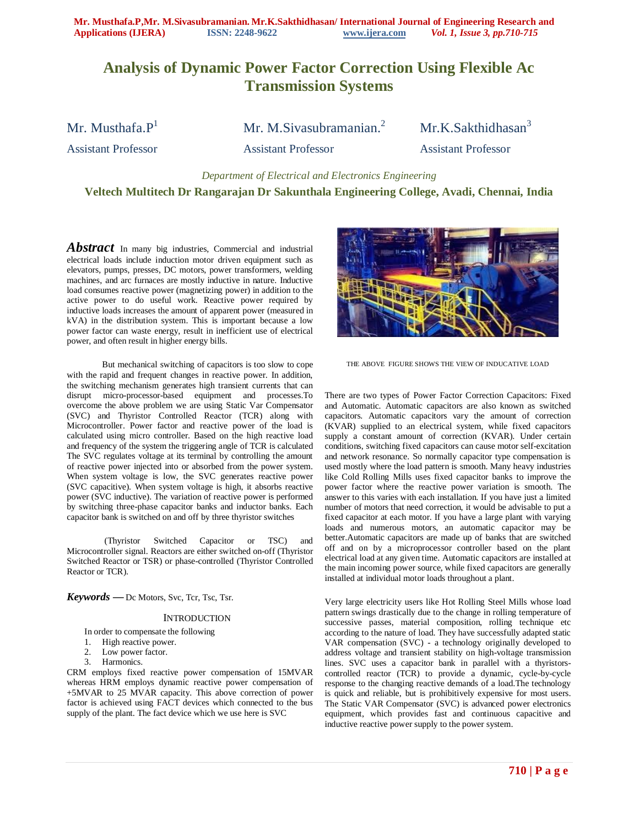# **Analysis of Dynamic Power Factor Correction Using Flexible Ac Transmission Systems**

Mr. Musthafa. $P^1$  Mr. M.Sivasubramanian.<sup>2</sup> Mr.K.Sakthidhasan<sup>3</sup>

Assistant Professor Assistant Professor Assistant Professor

*Department of Electrical and Electronics Engineering*

**Veltech Multitech Dr Rangarajan Dr Sakunthala Engineering College, Avadi, Chennai, India**

*Abstract* In many big industries, Commercial and industrial electrical loads include induction motor driven equipment such as elevators, pumps, presses, DC motors, power transformers, welding machines, and arc furnaces are mostly inductive in nature. Inductive load consumes reactive power (magnetizing power) in addition to the active power to do useful work. Reactive power required by inductive loads increases the amount of apparent power (measured in kVA) in the distribution system. This is important because a low power factor can waste energy, result in inefficient use of electrical power, and often result in higher energy bills.

But mechanical switching of capacitors is too slow to cope with the rapid and frequent changes in reactive power. In addition, the switching mechanism generates high transient currents that can disrupt micro-processor-based equipment and processes.To overcome the above problem we are using Static Var Compensator (SVC) and Thyristor Controlled Reactor (TCR) along with Microcontroller. Power factor and reactive power of the load is calculated using micro controller. Based on the high reactive load and frequency of the system the triggering angle of TCR is calculated The SVC regulates voltage at its terminal by controlling the amount of reactive power injected into or absorbed from the power system. When system voltage is low, the SVC generates reactive power (SVC capacitive). When system voltage is high, it absorbs reactive power (SVC inductive). The variation of reactive power is performed by switching three-phase capacitor banks and inductor banks. Each capacitor bank is switched on and off by three thyristor switches

(Thyristor Switched Capacitor or TSC) and Microcontroller signal. Reactors are either switched on-off (Thyristor Switched Reactor or TSR) or phase-controlled (Thyristor Controlled Reactor or TCR).

*Keywords* **—** Dc Motors, Svc, Tcr, Tsc, Tsr.

#### **INTRODUCTION**

In order to compensate the following

- 1. High reactive power.
- 2. Low power factor.
- 3. Harmonics.

CRM employs fixed reactive power compensation of 15MVAR whereas HRM employs dynamic reactive power compensation of +5MVAR to 25 MVAR capacity. This above correction of power factor is achieved using FACT devices which connected to the bus supply of the plant. The fact device which we use here is SVC



THE ABOVE FIGURE SHOWS THE VIEW OF INDUCATIVE LOAD

There are two types of Power Factor Correction Capacitors: Fixed and Automatic. Automatic capacitors are also known as switched capacitors. Automatic capacitors vary the amount of correction (KVAR) supplied to an electrical system, while fixed capacitors supply a constant amount of correction (KVAR). Under certain conditions, switching fixed capacitors can cause motor self-excitation and network resonance. So normally capacitor type compensation is used mostly where the load pattern is smooth. Many heavy industries like Cold Rolling Mills uses fixed capacitor banks to improve the power factor where the reactive power variation is smooth. The answer to this varies with each installation. If you have just a limited number of motors that need correction, it would be advisable to put a fixed capacitor at each motor. If you have a large plant with varying loads and numerous motors, an automatic capacitor may be better.Automatic capacitors are made up of banks that are switched off and on by a microprocessor controller based on the plant electrical load at any given time. Automatic capacitors are installed at the main incoming power source, while fixed capacitors are generally installed at individual motor loads throughout a plant.

Very large electricity users like Hot Rolling Steel Mills whose load pattern swings drastically due to the change in rolling temperature of successive passes, material composition, rolling technique etc according to the nature of load. They have successfully adapted static VAR compensation (SVC) - a technology originally developed to address voltage and transient stability on high-voltage transmission lines. SVC uses a capacitor bank in parallel with a thyristorscontrolled reactor (TCR) to provide a dynamic, cycle-by-cycle response to the changing reactive demands of a load.The technology is quick and reliable, but is prohibitively expensive for most users. The Static VAR Compensator (SVC) is advanced power electronics equipment, which provides fast and continuous capacitive and inductive reactive power supply to the power system.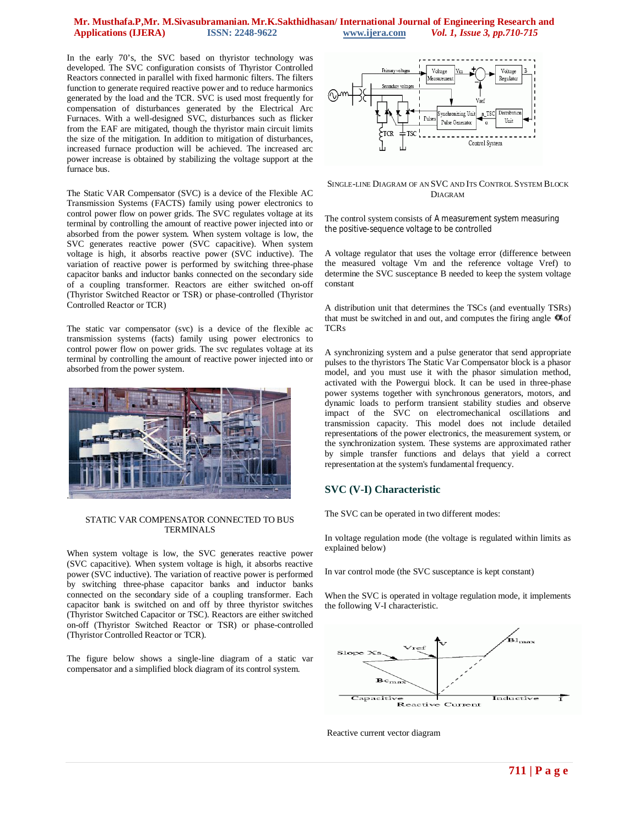## **Mr. Musthafa.P,Mr. M.Sivasubramanian. Mr.K.Sakthidhasan/ International Journal of Engineering Research and**   $Vol. 1, I$ *ssue 3, pp.710-715*

In the early 70's, the SVC based on thyristor technology was developed. The SVC configuration consists of Thyristor Controlled Reactors connected in parallel with fixed harmonic filters. The filters function to generate required reactive power and to reduce harmonics generated by the load and the TCR. SVC is used most frequently for compensation of disturbances generated by the Electrical Arc Furnaces. With a well-designed SVC, disturbances such as flicker from the EAF are mitigated, though the thyristor main circuit limits the size of the mitigation. In addition to mitigation of disturbances, increased furnace production will be achieved. The increased arc power increase is obtained by stabilizing the voltage support at the furnace bus.

The Static VAR Compensator (SVC) is a device of the Flexible AC Transmission Systems (FACTS) family using power electronics to control power flow on power grids. The SVC regulates voltage at its terminal by controlling the amount of reactive power injected into or absorbed from the power system. When system voltage is low, the SVC generates reactive power (SVC capacitive). When system voltage is high, it absorbs reactive power (SVC inductive). The variation of reactive power is performed by switching three-phase capacitor banks and inductor banks connected on the secondary side of a coupling transformer. Reactors are either switched on-off (Thyristor Switched Reactor or TSR) or phase-controlled (Thyristor Controlled Reactor or TCR)

The static var compensator (svc) is a device of the flexible ac transmission systems (facts) family using power electronics to control power flow on power grids. The svc regulates voltage at its terminal by controlling the amount of reactive power injected into or absorbed from the power system.



#### STATIC VAR COMPENSATOR CONNECTED TO BUS TERMINALS

When system voltage is low, the SVC generates reactive power (SVC capacitive). When system voltage is high, it absorbs reactive power (SVC inductive). The variation of reactive power is performed by switching three-phase capacitor banks and inductor banks connected on the secondary side of a coupling transformer. Each capacitor bank is switched on and off by three thyristor switches (Thyristor Switched Capacitor or TSC). Reactors are either switched on-off (Thyristor Switched Reactor or TSR) or phase-controlled (Thyristor Controlled Reactor or TCR).

The figure below shows a single-line diagram of a static var compensator and a simplified block diagram of its control system.



#### SINGLE-LINE DIAGRAM OF AN SVC AND ITS CONTROL SYSTEM BLOCK DIAGRAM

The control system consists of A measurement system measuring the positive-sequence voltage to be controlled

A voltage regulator that uses the voltage error (difference between the measured voltage Vm and the reference voltage Vref) to determine the SVC susceptance B needed to keep the system voltage constant

A distribution unit that determines the TSCs (and eventually TSRs) that must be switched in and out, and computes the firing angle  $\alpha$  of TCRs

A synchronizing system and a pulse generator that send appropriate pulses to the thyristors The Static Var Compensator block is a phasor model, and you must use it with the phasor simulation method, activated with the Powergui block. It can be used in three-phase power systems together with synchronous generators, motors, and dynamic loads to perform transient stability studies and observe impact of the SVC on electromechanical oscillations and transmission capacity. This model does not include detailed representations of the power electronics, the measurement system, or the synchronization system. These systems are approximated rather by simple transfer functions and delays that yield a correct representation at the system's fundamental frequency.

# **SVC (V-I) Characteristic**

The SVC can be operated in two different modes:

In voltage regulation mode (the voltage is regulated within limits as explained below)

In var control mode (the SVC susceptance is kept constant)

When the SVC is operated in voltage regulation mode, it implements the following V-I characteristic.



Reactive current vector diagram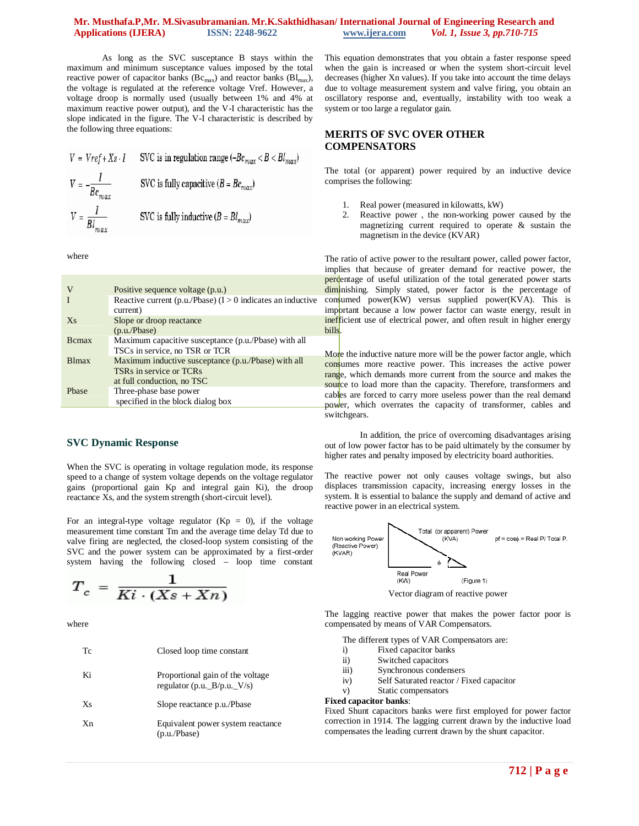## **Mr. Musthafa.P,Mr. M.Sivasubramanian. Mr.K.Sakthidhasan/ International Journal of Engineering Research and APPLICATIONS (***Vol. 1, Issue 3, pp.710-715*

As long as the SVC susceptance B stays within the maximum and minimum susceptance values imposed by the total reactive power of capacitor banks ( $\text{Bc}_{\text{max}}$ ) and reactor banks ( $\text{B1}_{\text{max}}$ ), the voltage is regulated at the reference voltage Vref. However, a voltage droop is normally used (usually between 1% and 4% at maximum reactive power output), and the V-I characteristic has the slope indicated in the figure. The V-I characteristic is described by the following three equations:

$$
V = Vref + Xs \cdot I
$$
 SVC is in regulation range  $(-Be_{max} < B < Bl_{max})$   
\n
$$
V = -\frac{I}{Be_{max}}
$$
 SVC is fully capacitive  $(B = Be_{max})$   
\n
$$
V = \frac{I}{Bl_{max}}
$$
 SVC is fully inductive  $(B = Bl_{max})$ 

where

|               | Positive sequence voltage (p.u.)                                                                                                     |
|---------------|--------------------------------------------------------------------------------------------------------------------------------------|
|               | Reactive current (p.u./Pbase) $(I > 0$ indicates an inductive<br>current)                                                            |
| $X_{S}$       | Slope or droop reactance<br>(p.u./Phase)                                                                                             |
| <b>B</b> cmax | Maximum capacitive susceptance (p.u./Pbase) with all<br>TSCs in service, no TSR or TCR                                               |
| <b>Blmax</b>  | Maximum inductive susceptance (p.u./Pbase) with all<br>TSR <sub>s</sub> in service or TCR <sub>s</sub><br>at full conduction, no TSC |
| Phase         | Three-phase base power<br>specified in the block dialog box                                                                          |

#### **SVC Dynamic Response**

When the SVC is operating in voltage regulation mode, its response speed to a change of system voltage depends on the voltage regulator gains (proportional gain Kp and integral gain Ki), the droop reactance Xs, and the system strength (short-circuit level).

For an integral-type voltage regulator  $(Kp = 0)$ , if the voltage measurement time constant Tm and the average time delay Td due to valve firing are neglected, the closed-loop system consisting of the SVC and the power system can be approximated by a first-order system having the following closed – loop time constant

$$
T_c = \frac{1}{Ki \cdot (Xs + Xn)}
$$

where

| Tc  | Closed loop time constant                                         |
|-----|-------------------------------------------------------------------|
| Ki  | Proportional gain of the voltage<br>regulator (p.u. $B/p.u.$ V/s) |
| Xs  | Slope reactance p.u./Pbase                                        |
| Xn. | Equivalent power system reactance<br>(p.u./Phase)                 |

This equation demonstrates that you obtain a faster response speed when the gain is increased or when the system short-circuit level decreases (higher Xn values). If you take into account the time delays due to voltage measurement system and valve firing, you obtain an oscillatory response and, eventually, instability with too weak a system or too large a regulator gain.

## **MERITS OF SVC OVER OTHER COMPENSATORS**

The total (or apparent) power required by an inductive device comprises the following:

- 1. Real power (measured in kilowatts, kW)
- 2. Reactive power , the non-working power caused by the magnetizing current required to operate & sustain the magnetism in the device (KVAR)

The ratio of active power to the resultant power, called power factor, implies that because of greater demand for reactive power, the percentage of useful utilization of the total generated power starts diminishing. Simply stated, power factor is the percentage of  $\text{con<sub>s</sub>umed power(KW) versus supplied power(KVA).}$  This is important because a low power factor can waste energy, result in inefficient use of electrical power, and often result in higher energy bills.

More the inductive nature more will be the power factor angle, which consumes more reactive power. This increases the active power range, which demands more current from the source and makes the source to load more than the capacity. Therefore, transformers and cables are forced to carry more useless power than the real demand power, which overrates the capacity of transformer, cables and switchgears.

In addition, the price of overcoming disadvantages arising out of low power factor has to be paid ultimately by the consumer by higher rates and penalty imposed by electricity board authorities.

The reactive power not only causes voltage swings, but also displaces transmission capacity, increasing energy losses in the system. It is essential to balance the supply and demand of active and reactive power in an electrical system.



The lagging reactive power that makes the power factor poor is compensated by means of VAR Compensators.

The different types of VAR Compensators are:

- i) Fixed capacitor banks
- ii) Switched capacitors
- iii) Synchronous condensers
- iv) Self Saturated reactor / Fixed capacitor
- v) Static compensators

#### **Fixed capacitor banks**:

Fixed Shunt capacitors banks were first employed for power factor correction in 1914. The lagging current drawn by the inductive load compensates the leading current drawn by the shunt capacitor.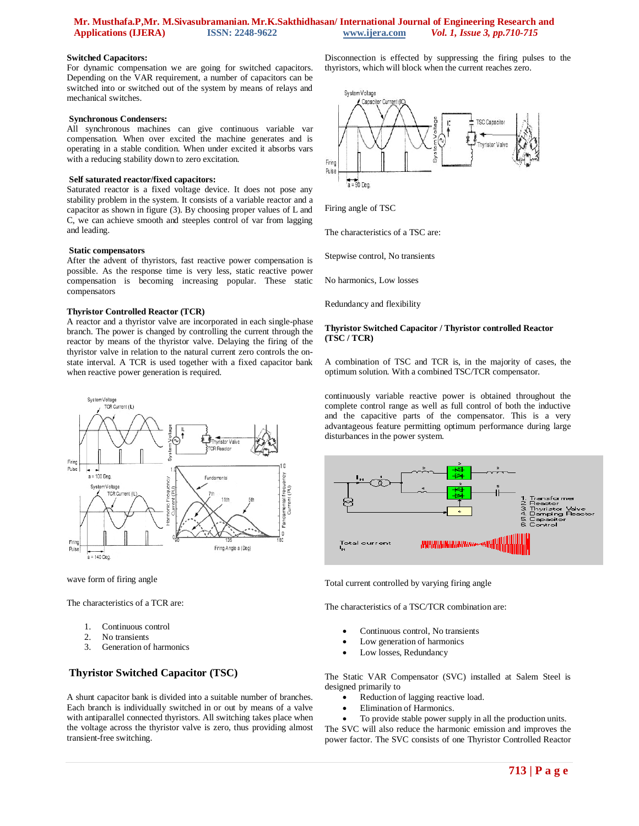## **Mr. Musthafa.P,Mr. M.Sivasubramanian. Mr.K.Sakthidhasan/ International Journal of Engineering Research and**   $Vol. 1, I$ *ssue 3, pp.710-715*

#### **Switched Capacitors:**

For dynamic compensation we are going for switched capacitors. Depending on the VAR requirement, a number of capacitors can be switched into or switched out of the system by means of relays and mechanical switches.

#### **Synchronous Condensers:**

All synchronous machines can give continuous variable var compensation. When over excited the machine generates and is operating in a stable condition. When under excited it absorbs vars with a reducing stability down to zero excitation.

#### **Self saturated reactor/fixed capacitors:**

Saturated reactor is a fixed voltage device. It does not pose any stability problem in the system. It consists of a variable reactor and a capacitor as shown in figure (3). By choosing proper values of L and C, we can achieve smooth and steeples control of var from lagging and leading.

#### **Static compensators**

After the advent of thyristors, fast reactive power compensation is possible. As the response time is very less, static reactive power compensation is becoming increasing popular. These static compensators

#### **Thyristor Controlled Reactor (TCR)**

A reactor and a thyristor valve are incorporated in each single-phase branch. The power is changed by controlling the current through the reactor by means of the thyristor valve. Delaying the firing of the thyristor valve in relation to the natural current zero controls the onstate interval. A TCR is used together with a fixed capacitor bank when reactive power generation is required.



wave form of firing angle

The characteristics of a TCR are:

- 1. Continuous control
- 2. No transients<br>3. Generation of
- Generation of harmonics

## **Thyristor Switched Capacitor (TSC)**

A shunt capacitor bank is divided into a suitable number of branches. Each branch is individually switched in or out by means of a valve with antiparallel connected thyristors. All switching takes place when the voltage across the thyristor valve is zero, thus providing almost transient-free switching.

Disconnection is effected by suppressing the firing pulses to the thyristors, which will block when the current reaches zero.



Firing angle of TSC

The characteristics of a TSC are:

Stepwise control, No transients

No harmonics, Low losses

Redundancy and flexibility

#### **Thyristor Switched Capacitor / Thyristor controlled Reactor (TSC / TCR)**

A combination of TSC and TCR is, in the majority of cases, the optimum solution. With a combined TSC/TCR compensator.

continuously variable reactive power is obtained throughout the complete control range as well as full control of both the inductive and the capacitive parts of the compensator. This is a very advantageous feature permitting optimum performance during large disturbances in the power system.



Total current controlled by varying firing angle

The characteristics of a TSC/TCR combination are:

- Continuous control, No transients
- Low generation of harmonics
- Low losses, Redundancy

The Static VAR Compensator (SVC) installed at Salem Steel is designed primarily to

- Reduction of lagging reactive load.
- Elimination of Harmonics.
- To provide stable power supply in all the production units.

The SVC will also reduce the harmonic emission and improves the power factor. The SVC consists of one Thyristor Controlled Reactor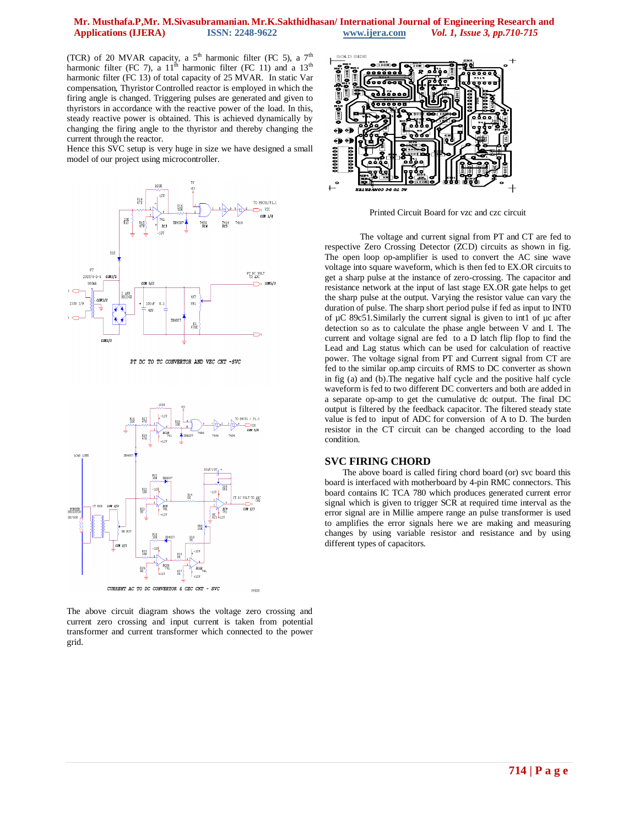## **Mr. Musthafa.P,Mr. M.Sivasubramanian. Mr.K.Sakthidhasan/ International Journal of Engineering Research and**   $\textit{Vol. 1, Issue 3, pp.710-715}$

(TCR) of 20 MVAR capacity, a  $5<sup>th</sup>$  harmonic filter (FC 5), a  $7<sup>th</sup>$ harmonic filter (FC 7), a  $11<sup>th</sup>$  harmonic filter (FC 11) and a  $13<sup>th</sup>$ harmonic filter (FC 13) of total capacity of 25 MVAR. In static Var compensation, Thyristor Controlled reactor is employed in which the firing angle is changed. Triggering pulses are generated and given to thyristors in accordance with the reactive power of the load. In this, steady reactive power is obtained. This is achieved dynamically by changing the firing angle to the thyristor and thereby changing the current through the reactor.

Hence this SVC setup is very huge in size we have designed a small model of our project using microcontroller.



PT DC TO TC CONVERTOR AND VZC CKT -SVC



The above circuit diagram shows the voltage zero crossing and current zero crossing and input current is taken from potential transformer and current transformer which connected to the power grid.



Printed Circuit Board for vzc and czc circuit

The voltage and current signal from PT and CT are fed to respective Zero Crossing Detector (ZCD) circuits as shown in fig. The open loop op-amplifier is used to convert the AC sine wave voltage into square waveform, which is then fed to EX.OR circuits to get a sharp pulse at the instance of zero-crossing. The capacitor and resistance network at the input of last stage EX.OR gate helps to get the sharp pulse at the output. Varying the resistor value can vary the duration of pulse. The sharp short period pulse if fed as input to INT0 of µC 89c51.Similarly the current signal is given to int1 of µc after detection so as to calculate the phase angle between V and I. The current and voltage signal are fed to a D latch flip flop to find the Lead and Lag status which can be used for calculation of reactive power. The voltage signal from PT and Current signal from CT are fed to the similar op.amp circuits of RMS to DC converter as shown in fig (a) and (b).The negative half cycle and the positive half cycle waveform is fed to two different DC converters and both are added in a separate op-amp to get the cumulative dc output. The final DC output is filtered by the feedback capacitor. The filtered steady state value is fed to input of ADC for conversion of A to D. The burden resistor in the CT circuit can be changed according to the load condition.

#### **SVC FIRING CHORD**

The above board is called firing chord board (or) svc board this board is interfaced with motherboard by 4-pin RMC connectors. This board contains IC TCA 780 which produces generated current error signal which is given to trigger SCR at required time interval as the error signal are in Millie ampere range an pulse transformer is used to amplifies the error signals here we are making and measuring changes by using variable resistor and resistance and by using different types of capacitors.